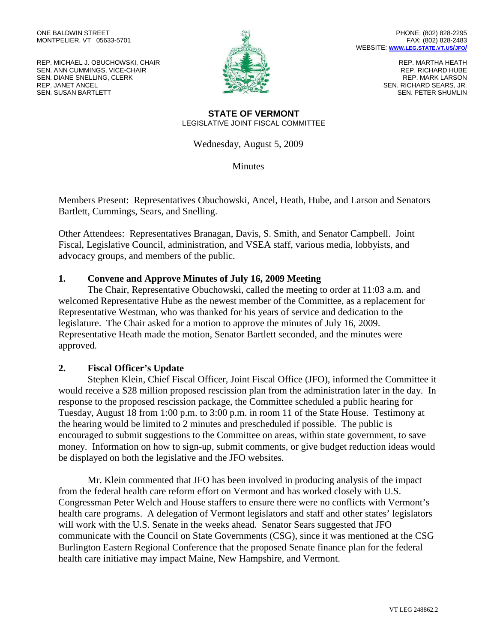REP. MICHAEL J. OBUCHOWSKI, CHAIR SEN. ANN CUMMINGS, VICE-CHAIR SEN. DIANE SNELLING, CLERK REP. JANET ANCEL SEN. SUSAN BARTLETT



REP. MARTHA HEATH REP. RICHARD HUBE REP. MARK LARSON SEN. RICHARD SEARS, JR. SEN. PETER SHUMLIN

#### **STATE OF VERMONT** LEGISLATIVE JOINT FISCAL COMMITTEE

Wednesday, August 5, 2009

**Minutes** 

Members Present: Representatives Obuchowski, Ancel, Heath, Hube, and Larson and Senators Bartlett, Cummings, Sears, and Snelling.

Other Attendees: Representatives Branagan, Davis, S. Smith, and Senator Campbell. Joint Fiscal, Legislative Council, administration, and VSEA staff, various media, lobbyists, and advocacy groups, and members of the public.

## **1. Convene and Approve Minutes of July 16, 2009 Meeting**

The Chair, Representative Obuchowski, called the meeting to order at 11:03 a.m. and welcomed Representative Hube as the newest member of the Committee, as a replacement for Representative Westman, who was thanked for his years of service and dedication to the legislature. The Chair asked for a motion to approve the minutes of July 16, 2009. Representative Heath made the motion, Senator Bartlett seconded, and the minutes were approved.

# **2. Fiscal Officer's Update**

Stephen Klein, Chief Fiscal Officer, Joint Fiscal Office (JFO), informed the Committee it would receive a \$28 million proposed rescission plan from the administration later in the day. In response to the proposed rescission package, the Committee scheduled a public hearing for Tuesday, August 18 from 1:00 p.m. to 3:00 p.m. in room 11 of the State House. Testimony at the hearing would be limited to 2 minutes and prescheduled if possible. The public is encouraged to submit suggestions to the Committee on areas, within state government, to save money. Information on how to sign-up, submit comments, or give budget reduction ideas would be displayed on both the legislative and the JFO websites.

Mr. Klein commented that JFO has been involved in producing analysis of the impact from the federal health care reform effort on Vermont and has worked closely with U.S. Congressman Peter Welch and House staffers to ensure there were no conflicts with Vermont's health care programs. A delegation of Vermont legislators and staff and other states' legislators will work with the U.S. Senate in the weeks ahead. Senator Sears suggested that JFO communicate with the Council on State Governments (CSG), since it was mentioned at the CSG Burlington Eastern Regional Conference that the proposed Senate finance plan for the federal health care initiative may impact Maine, New Hampshire, and Vermont.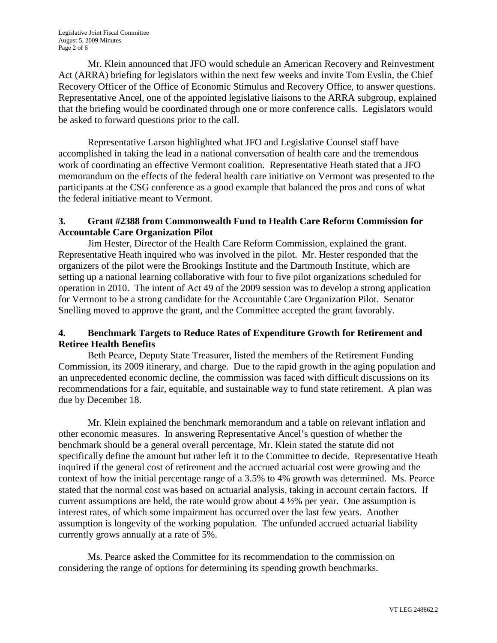Mr. Klein announced that JFO would schedule an American Recovery and Reinvestment Act (ARRA) briefing for legislators within the next few weeks and invite Tom Evslin, the Chief Recovery Officer of the Office of Economic Stimulus and Recovery Office, to answer questions. Representative Ancel, one of the appointed legislative liaisons to the ARRA subgroup, explained that the briefing would be coordinated through one or more conference calls. Legislators would be asked to forward questions prior to the call.

Representative Larson highlighted what JFO and Legislative Counsel staff have accomplished in taking the lead in a national conversation of health care and the tremendous work of coordinating an effective Vermont coalition. Representative Heath stated that a JFO memorandum on the effects of the federal health care initiative on Vermont was presented to the participants at the CSG conference as a good example that balanced the pros and cons of what the federal initiative meant to Vermont.

## **3. Grant #2388 from Commonwealth Fund to Health Care Reform Commission for Accountable Care Organization Pilot**

Jim Hester, Director of the Health Care Reform Commission, explained the grant. Representative Heath inquired who was involved in the pilot. Mr. Hester responded that the organizers of the pilot were the Brookings Institute and the Dartmouth Institute, which are setting up a national learning collaborative with four to five pilot organizations scheduled for operation in 2010. The intent of Act 49 of the 2009 session was to develop a strong application for Vermont to be a strong candidate for the Accountable Care Organization Pilot. Senator Snelling moved to approve the grant, and the Committee accepted the grant favorably.

## **4. Benchmark Targets to Reduce Rates of Expenditure Growth for Retirement and Retiree Health Benefits**

Beth Pearce, Deputy State Treasurer, listed the members of the Retirement Funding Commission, its 2009 itinerary, and charge. Due to the rapid growth in the aging population and an unprecedented economic decline, the commission was faced with difficult discussions on its recommendations for a fair, equitable, and sustainable way to fund state retirement. A plan was due by December 18.

Mr. Klein explained the benchmark memorandum and a table on relevant inflation and other economic measures. In answering Representative Ancel's question of whether the benchmark should be a general overall percentage, Mr. Klein stated the statute did not specifically define the amount but rather left it to the Committee to decide. Representative Heath inquired if the general cost of retirement and the accrued actuarial cost were growing and the context of how the initial percentage range of a 3.5% to 4% growth was determined. Ms. Pearce stated that the normal cost was based on actuarial analysis, taking in account certain factors. If current assumptions are held, the rate would grow about  $4\frac{1}{2}\%$  per year. One assumption is interest rates, of which some impairment has occurred over the last few years. Another assumption is longevity of the working population. The unfunded accrued actuarial liability currently grows annually at a rate of 5%.

Ms. Pearce asked the Committee for its recommendation to the commission on considering the range of options for determining its spending growth benchmarks.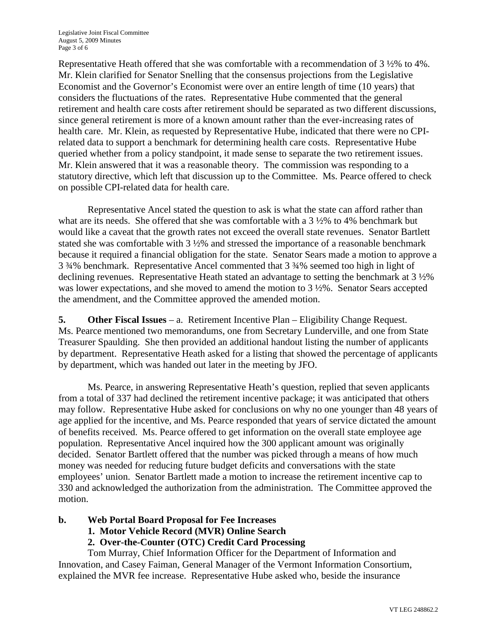Representative Heath offered that she was comfortable with a recommendation of 3 ½% to 4%. Mr. Klein clarified for Senator Snelling that the consensus projections from the Legislative Economist and the Governor's Economist were over an entire length of time (10 years) that considers the fluctuations of the rates. Representative Hube commented that the general retirement and health care costs after retirement should be separated as two different discussions, since general retirement is more of a known amount rather than the ever-increasing rates of health care. Mr. Klein, as requested by Representative Hube, indicated that there were no CPIrelated data to support a benchmark for determining health care costs. Representative Hube queried whether from a policy standpoint, it made sense to separate the two retirement issues. Mr. Klein answered that it was a reasonable theory. The commission was responding to a statutory directive, which left that discussion up to the Committee. Ms. Pearce offered to check on possible CPI-related data for health care.

Representative Ancel stated the question to ask is what the state can afford rather than what are its needs. She offered that she was comfortable with a 3 ½% to 4% benchmark but would like a caveat that the growth rates not exceed the overall state revenues. Senator Bartlett stated she was comfortable with 3 ½% and stressed the importance of a reasonable benchmark because it required a financial obligation for the state. Senator Sears made a motion to approve a 3 ¾% benchmark. Representative Ancel commented that 3 ¾% seemed too high in light of declining revenues. Representative Heath stated an advantage to setting the benchmark at 3  $\frac{1}{2}\%$ was lower expectations, and she moved to amend the motion to 3  $\frac{1}{2}\%$ . Senator Sears accepted the amendment, and the Committee approved the amended motion.

**5. Other Fiscal Issues** – a. Retirement Incentive Plan – Eligibility Change Request. Ms. Pearce mentioned two memorandums, one from Secretary Lunderville, and one from State Treasurer Spaulding. She then provided an additional handout listing the number of applicants by department. Representative Heath asked for a listing that showed the percentage of applicants by department, which was handed out later in the meeting by JFO.

Ms. Pearce, in answering Representative Heath's question, replied that seven applicants from a total of 337 had declined the retirement incentive package; it was anticipated that others may follow. Representative Hube asked for conclusions on why no one younger than 48 years of age applied for the incentive, and Ms. Pearce responded that years of service dictated the amount of benefits received. Ms. Pearce offered to get information on the overall state employee age population. Representative Ancel inquired how the 300 applicant amount was originally decided. Senator Bartlett offered that the number was picked through a means of how much money was needed for reducing future budget deficits and conversations with the state employees' union. Senator Bartlett made a motion to increase the retirement incentive cap to 330 and acknowledged the authorization from the administration. The Committee approved the motion.

#### **b. Web Portal Board Proposal for Fee Increases**

**1. Motor Vehicle Record (MVR) Online Search**

# **2. Over-the-Counter (OTC) Credit Card Processing**

Tom Murray, Chief Information Officer for the Department of Information and Innovation, and Casey Faiman, General Manager of the Vermont Information Consortium, explained the MVR fee increase. Representative Hube asked who, beside the insurance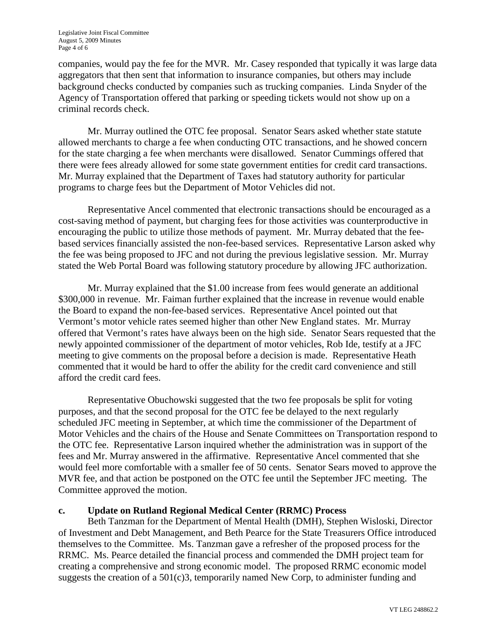companies, would pay the fee for the MVR. Mr. Casey responded that typically it was large data aggregators that then sent that information to insurance companies, but others may include background checks conducted by companies such as trucking companies. Linda Snyder of the Agency of Transportation offered that parking or speeding tickets would not show up on a criminal records check.

Mr. Murray outlined the OTC fee proposal. Senator Sears asked whether state statute allowed merchants to charge a fee when conducting OTC transactions, and he showed concern for the state charging a fee when merchants were disallowed. Senator Cummings offered that there were fees already allowed for some state government entities for credit card transactions. Mr. Murray explained that the Department of Taxes had statutory authority for particular programs to charge fees but the Department of Motor Vehicles did not.

Representative Ancel commented that electronic transactions should be encouraged as a cost-saving method of payment, but charging fees for those activities was counterproductive in encouraging the public to utilize those methods of payment. Mr. Murray debated that the feebased services financially assisted the non-fee-based services. Representative Larson asked why the fee was being proposed to JFC and not during the previous legislative session. Mr. Murray stated the Web Portal Board was following statutory procedure by allowing JFC authorization.

Mr. Murray explained that the \$1.00 increase from fees would generate an additional \$300,000 in revenue. Mr. Faiman further explained that the increase in revenue would enable the Board to expand the non-fee-based services. Representative Ancel pointed out that Vermont's motor vehicle rates seemed higher than other New England states. Mr. Murray offered that Vermont's rates have always been on the high side. Senator Sears requested that the newly appointed commissioner of the department of motor vehicles, Rob Ide, testify at a JFC meeting to give comments on the proposal before a decision is made. Representative Heath commented that it would be hard to offer the ability for the credit card convenience and still afford the credit card fees.

Representative Obuchowski suggested that the two fee proposals be split for voting purposes, and that the second proposal for the OTC fee be delayed to the next regularly scheduled JFC meeting in September, at which time the commissioner of the Department of Motor Vehicles and the chairs of the House and Senate Committees on Transportation respond to the OTC fee. Representative Larson inquired whether the administration was in support of the fees and Mr. Murray answered in the affirmative. Representative Ancel commented that she would feel more comfortable with a smaller fee of 50 cents. Senator Sears moved to approve the MVR fee, and that action be postponed on the OTC fee until the September JFC meeting. The Committee approved the motion.

#### **c. Update on Rutland Regional Medical Center (RRMC) Process**

Beth Tanzman for the Department of Mental Health (DMH), Stephen Wisloski, Director of Investment and Debt Management, and Beth Pearce for the State Treasurers Office introduced themselves to the Committee. Ms. Tanzman gave a refresher of the proposed process for the RRMC. Ms. Pearce detailed the financial process and commended the DMH project team for creating a comprehensive and strong economic model. The proposed RRMC economic model suggests the creation of a 501(c)3, temporarily named New Corp, to administer funding and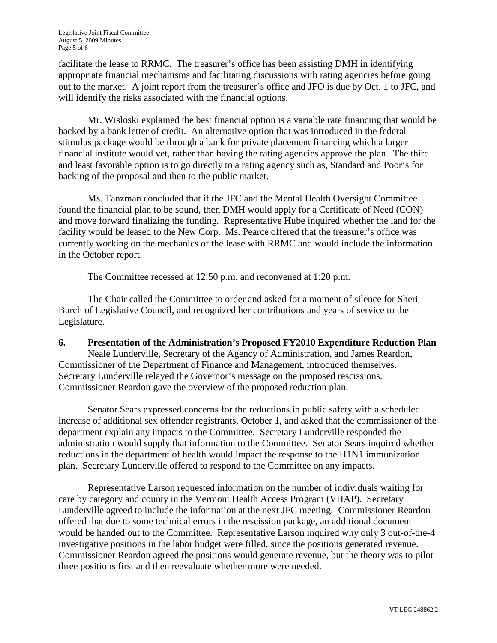facilitate the lease to RRMC. The treasurer's office has been assisting DMH in identifying appropriate financial mechanisms and facilitating discussions with rating agencies before going out to the market. A joint report from the treasurer's office and JFO is due by Oct. 1 to JFC, and will identify the risks associated with the financial options.

Mr. Wisloski explained the best financial option is a variable rate financing that would be backed by a bank letter of credit. An alternative option that was introduced in the federal stimulus package would be through a bank for private placement financing which a larger financial institute would vet, rather than having the rating agencies approve the plan. The third and least favorable option is to go directly to a rating agency such as, Standard and Poor's for backing of the proposal and then to the public market.

Ms. Tanzman concluded that if the JFC and the Mental Health Oversight Committee found the financial plan to be sound, then DMH would apply for a Certificate of Need (CON) and move forward finalizing the funding. Representative Hube inquired whether the land for the facility would be leased to the New Corp. Ms. Pearce offered that the treasurer's office was currently working on the mechanics of the lease with RRMC and would include the information in the October report.

The Committee recessed at 12:50 p.m. and reconvened at 1:20 p.m.

The Chair called the Committee to order and asked for a moment of silence for Sheri Burch of Legislative Council, and recognized her contributions and years of service to the Legislature.

#### **6. Presentation of the Administration's Proposed FY2010 Expenditure Reduction Plan** Neale Lunderville, Secretary of the Agency of Administration, and James Reardon,

Commissioner of the Department of Finance and Management, introduced themselves. Secretary Lunderville relayed the Governor's message on the proposed rescissions. Commissioner Reardon gave the overview of the proposed reduction plan.

Senator Sears expressed concerns for the reductions in public safety with a scheduled increase of additional sex offender registrants, October 1, and asked that the commissioner of the department explain any impacts to the Committee. Secretary Lunderville responded the administration would supply that information to the Committee. Senator Sears inquired whether reductions in the department of health would impact the response to the H1N1 immunization plan. Secretary Lunderville offered to respond to the Committee on any impacts.

Representative Larson requested information on the number of individuals waiting for care by category and county in the Vermont Health Access Program (VHAP). Secretary Lunderville agreed to include the information at the next JFC meeting. Commissioner Reardon offered that due to some technical errors in the rescission package, an additional document would be handed out to the Committee. Representative Larson inquired why only 3 out-of-the-4 investigative positions in the labor budget were filled, since the positions generated revenue. Commissioner Reardon agreed the positions would generate revenue, but the theory was to pilot three positions first and then reevaluate whether more were needed.